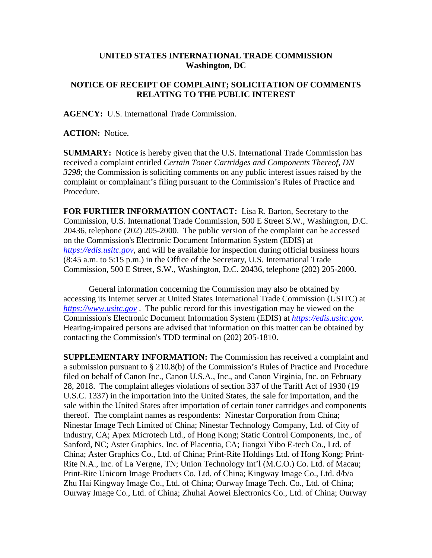## **UNITED STATES INTERNATIONAL TRADE COMMISSION Washington, DC**

## **NOTICE OF RECEIPT OF COMPLAINT; SOLICITATION OF COMMENTS RELATING TO THE PUBLIC INTEREST**

**AGENCY:** U.S. International Trade Commission.

**ACTION:** Notice.

**SUMMARY:** Notice is hereby given that the U.S. International Trade Commission has received a complaint entitled *Certain Toner Cartridges and Components Thereof, DN 3298*; the Commission is soliciting comments on any public interest issues raised by the complaint or complainant's filing pursuant to the Commission's Rules of Practice and Procedure.

**FOR FURTHER INFORMATION CONTACT:** Lisa R. Barton, Secretary to the Commission, U.S. International Trade Commission, 500 E Street S.W., Washington, D.C. 20436, telephone (202) 205-2000. The public version of the complaint can be accessed on the Commission's Electronic Document Information System (EDIS) at *[https://edis.usitc.gov](https://edis.usitc.gov/)*, and will be available for inspection during official business hours (8:45 a.m. to 5:15 p.m.) in the Office of the Secretary, U.S. International Trade Commission, 500 E Street, S.W., Washington, D.C. 20436, telephone (202) 205-2000.

General information concerning the Commission may also be obtained by accessing its Internet server at United States International Trade Commission (USITC) at *[https://www.usitc.gov](https://www.usitc.gov/)* . The public record for this investigation may be viewed on the Commission's Electronic Document Information System (EDIS) at *[https://edis.usitc.gov.](https://edis.usitc.gov/)* Hearing-impaired persons are advised that information on this matter can be obtained by contacting the Commission's TDD terminal on (202) 205-1810.

**SUPPLEMENTARY INFORMATION:** The Commission has received a complaint and a submission pursuant to § 210.8(b) of the Commission's Rules of Practice and Procedure filed on behalf of Canon Inc., Canon U.S.A., Inc., and Canon Virginia, Inc. on February 28, 2018. The complaint alleges violations of section 337 of the Tariff Act of 1930 (19 U.S.C. 1337) in the importation into the United States, the sale for importation, and the sale within the United States after importation of certain toner cartridges and components thereof. The complaint names as respondents: Ninestar Corporation from China; Ninestar Image Tech Limited of China; Ninestar Technology Company, Ltd. of City of Industry, CA; Apex Microtech Ltd., of Hong Kong; Static Control Components, Inc., of Sanford, NC; Aster Graphics, Inc. of Placentia, CA; Jiangxi Yibo E-tech Co., Ltd. of China; Aster Graphics Co., Ltd. of China; Print-Rite Holdings Ltd. of Hong Kong; Print-Rite N.A., Inc. of La Vergne, TN; Union Technology Int'l (M.C.O.) Co. Ltd. of Macau; Print-Rite Unicorn Image Products Co. Ltd. of China; Kingway Image Co., Ltd. d/b/a Zhu Hai Kingway Image Co., Ltd. of China; Ourway Image Tech. Co., Ltd. of China; Ourway Image Co., Ltd. of China; Zhuhai Aowei Electronics Co., Ltd. of China; Ourway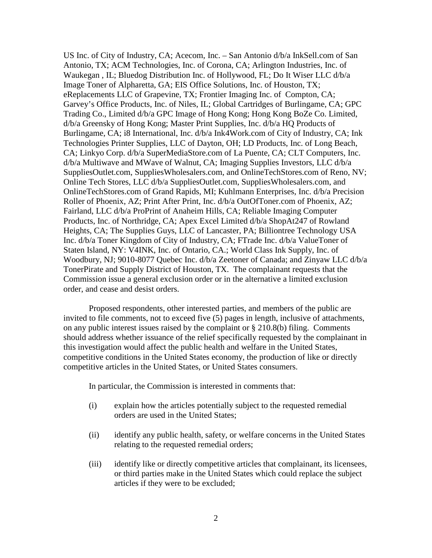US Inc. of City of Industry, CA; Acecom, Inc. – San Antonio d/b/a InkSell.com of San Antonio, TX; ACM Technologies, Inc. of Corona, CA; Arlington Industries, Inc. of Waukegan , IL; Bluedog Distribution Inc. of Hollywood, FL; Do It Wiser LLC d/b/a Image Toner of Alpharetta, GA; EIS Office Solutions, Inc. of Houston, TX; eReplacements LLC of Grapevine, TX; Frontier Imaging Inc. of Compton, CA; Garvey's Office Products, Inc. of Niles, IL; Global Cartridges of Burlingame, CA; GPC Trading Co., Limited d/b/a GPC Image of Hong Kong; Hong Kong BoZe Co. Limited, d/b/a Greensky of Hong Kong; Master Print Supplies, Inc. d/b/a HQ Products of Burlingame, CA; i8 International, Inc. d/b/a Ink4Work.com of City of Industry, CA; Ink Technologies Printer Supplies, LLC of Dayton, OH; LD Products, Inc. of Long Beach, CA; Linkyo Corp. d/b/a SuperMediaStore.com of La Puente, CA; CLT Computers, Inc. d/b/a Multiwave and MWave of Walnut, CA; Imaging Supplies Investors, LLC d/b/a SuppliesOutlet.com, SuppliesWholesalers.com, and OnlineTechStores.com of Reno, NV; Online Tech Stores, LLC d/b/a SuppliesOutlet.com, SuppliesWholesalers.com, and OnlineTechStores.com of Grand Rapids, MI; Kuhlmann Enterprises, Inc. d/b/a Precision Roller of Phoenix, AZ; Print After Print, Inc. d/b/a OutOfToner.com of Phoenix, AZ; Fairland, LLC d/b/a ProPrint of Anaheim Hills, CA; Reliable Imaging Computer Products, Inc. of Northridge, CA; Apex Excel Limited d/b/a ShopAt247 of Rowland Heights, CA; The Supplies Guys, LLC of Lancaster, PA; Billiontree Technology USA Inc. d/b/a Toner Kingdom of City of Industry, CA; FTrade Inc. d/b/a ValueToner of Staten Island, NY: V4INK, Inc. of Ontario, CA.; World Class Ink Supply, Inc. of Woodbury, NJ; 9010-8077 Quebec Inc. d/b/a Zeetoner of Canada; and Zinyaw LLC d/b/a TonerPirate and Supply District of Houston, TX. The complainant requests that the Commission issue a general exclusion order or in the alternative a limited exclusion order, and cease and desist orders.

Proposed respondents, other interested parties, and members of the public are invited to file comments, not to exceed five (5) pages in length, inclusive of attachments, on any public interest issues raised by the complaint or § 210.8(b) filing. Comments should address whether issuance of the relief specifically requested by the complainant in this investigation would affect the public health and welfare in the United States, competitive conditions in the United States economy, the production of like or directly competitive articles in the United States, or United States consumers.

In particular, the Commission is interested in comments that:

- (i) explain how the articles potentially subject to the requested remedial orders are used in the United States;
- (ii) identify any public health, safety, or welfare concerns in the United States relating to the requested remedial orders;
- (iii) identify like or directly competitive articles that complainant, its licensees, or third parties make in the United States which could replace the subject articles if they were to be excluded;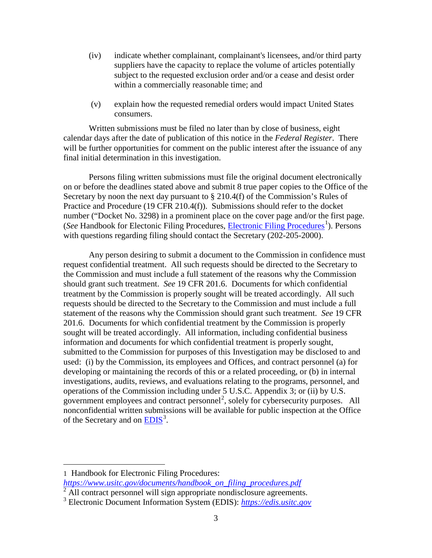- (iv) indicate whether complainant, complainant's licensees, and/or third party suppliers have the capacity to replace the volume of articles potentially subject to the requested exclusion order and/or a cease and desist order within a commercially reasonable time; and
- (v) explain how the requested remedial orders would impact United States consumers.

Written submissions must be filed no later than by close of business, eight calendar days after the date of publication of this notice in the *Federal Register*. There will be further opportunities for comment on the public interest after the issuance of any final initial determination in this investigation.

Persons filing written submissions must file the original document electronically on or before the deadlines stated above and submit 8 true paper copies to the Office of the Secretary by noon the next day pursuant to  $\S 210.4(f)$  of the Commission's Rules of Practice and Procedure (19 CFR 210.4(f)). Submissions should refer to the docket number ("Docket No. 3298) in a prominent place on the cover page and/or the first page. (See Handbook for Electonic Filing Procedures, *Electronic Filing Procedures*<sup>[1](#page-2-0)</sup>). Persons with questions regarding filing should contact the Secretary (202-205-2000).

Any person desiring to submit a document to the Commission in confidence must request confidential treatment. All such requests should be directed to the Secretary to the Commission and must include a full statement of the reasons why the Commission should grant such treatment. *See* 19 CFR 201.6. Documents for which confidential treatment by the Commission is properly sought will be treated accordingly. All such requests should be directed to the Secretary to the Commission and must include a full statement of the reasons why the Commission should grant such treatment. *See* 19 CFR 201.6. Documents for which confidential treatment by the Commission is properly sought will be treated accordingly. All information, including confidential business information and documents for which confidential treatment is properly sought, submitted to the Commission for purposes of this Investigation may be disclosed to and used: (i) by the Commission, its employees and Offices, and contract personnel (a) for developing or maintaining the records of this or a related proceeding, or (b) in internal investigations, audits, reviews, and evaluations relating to the programs, personnel, and operations of the Commission including under 5 U.S.C. Appendix 3; or (ii) by U.S. government employees and contract personnel<sup>[2](#page-2-1)</sup>, solely for cybersecurity purposes. All nonconfidential written submissions will be available for public inspection at the Office of the Secretary and on **EDIS**<sup>[3](#page-2-2)</sup>.

<span id="page-2-0"></span>1 Handbook for Electronic Filing Procedures:

 $\overline{a}$ 

- *[https://www.usitc.gov/documents/handbook\\_on\\_filing\\_procedures.pdf](https://www.usitc.gov/documents/handbook_on_filing_procedures.pdf)*
- All contract personnel will sign appropriate nondisclosure agreements.

<span id="page-2-2"></span><span id="page-2-1"></span><sup>3</sup> Electronic Document Information System (EDIS): *[https://edis.usitc.gov](https://edis.usitc.gov/)*